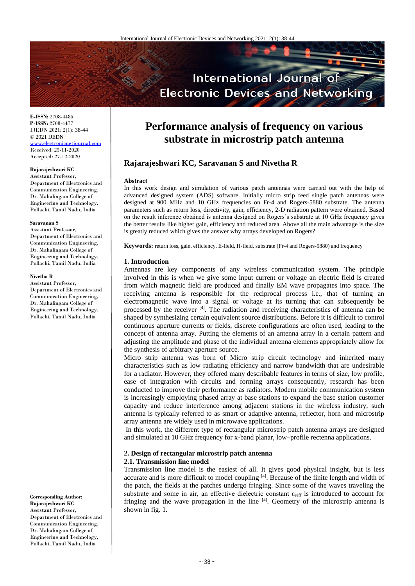

**E-ISSN:** 2708-4485 **P-ISSN:** 2708-4477 IJEDN 2021; 2(1): 38-44 © 2021 IJEDN <www.electronicnetjournal.com> Received: 25-11-2020 Accepted: 27-12-2020

# **Rajarajeshwari KC**

Assistant Professor, Department of Electronics and Communication Engineering, Dr. Mahalingam College of Engineering and Technology, Pollachi, Tamil Nadu, India

#### **Saravanan S**

Assistant Professor, Department of Electronics and Communication Engineering, Dr. Mahalingam College of Engineering and Technology, Pollachi, Tamil Nadu, India

#### **Nivetha R**

Assistant Professor, Department of Electronics and Communication Engineering, Dr. Mahalingam College of Engineering and Technology, Pollachi, Tamil Nadu, India

**Corresponding Author: Rajarajeshwari KC**  Assistant Professor, Department of Electronics and Communication Engineering, Dr. Mahalingam College of Engineering and Technology, Pollachi, Tamil Nadu, India

# **Performance analysis of frequency on various substrate in microstrip patch antenna**

# **Rajarajeshwari KC, Saravanan S and Nivetha R**

#### **Abstract**

In this work design and simulation of various patch antennas were carried out with the help of advanced designed system (ADS) software. Initially micro strip feed single patch antennas were designed at 900 MHz and 10 GHz frequencies on Fr-4 and Rogers-5880 substrate. The antenna parameters such as return loss, directivity, gain, efficiency, 2-D radiation pattern were obtained. Based on the result inference obtained is antenna designed on Rogers's substrate at 10 GHz frequency gives the better results like higher gain, efficiency and reduced area. Above all the main advantage is the size is greatly reduced which gives the answer why arrays developed on Rogers?

**Keywords:** return loss, gain, efficiency, E-field, H-field, substrate (Fr-4 and Rogers-5880) and frequency

#### **1. Introduction**

Antennas are key components of any wireless communication system. The principle involved in this is when we give some input current or voltage an electric field is created from which magnetic field are produced and finally EM wave propagates into space. The receiving antenna is responsible for the reciprocal process i.e., that of turning an electromagnetic wave into a signal or voltage at its turning that can subsequently be processed by the receiver <sup>[4]</sup>. The radiation and receiving characteristics of antenna can be shaped by synthesizing certain equivalent source distributions. Before it is difficult to control continuous aperture currents or fields, discrete configurations are often used, leading to the concept of antenna array. Putting the elements of an antenna array in a certain pattern and adjusting the amplitude and phase of the individual antenna elements appropriately allow for the synthesis of arbitrary aperture source.

Micro strip antenna was born of Micro strip circuit technology and inherited many characteristics such as low radiating efficiency and narrow bandwidth that are undesirable for a radiator. However, they offered many describable features in terms of size, low profile, ease of integration with circuits and forming arrays consequently, research has been conducted to improve their performance as radiators. Modern mobile communication system is increasingly employing phased array at base stations to expand the base station customer capacity and reduce interference among adjacent stations in the wireless industry, such antenna is typically referred to as smart or adaptive antenna, reflector, horn and microstrip array antenna are widely used in microwave applications.

In this work, the different type of rectangular microstrip patch antenna arrays are designed and simulated at 10 GHz frequency for x-band planar, low–profile rectenna applications.

# **2. Design of rectangular microstrip patch antenna**

#### **2.1. Transmission line model**

Transmission line model is the easiest of all. It gives good physical insight, but is less accurate and is more difficult to model coupling [4]. Because of the finite length and width of the patch, the fields at the patches undergo fringing. Since some of the waves traveling the substrate and some in air, an effective dielectric constant  $\varepsilon_{\text{reff}}$  is introduced to account for fringing and the wave propagation in the line  $[4]$ . Geometry of the microstrip antenna is shown in fig. 1.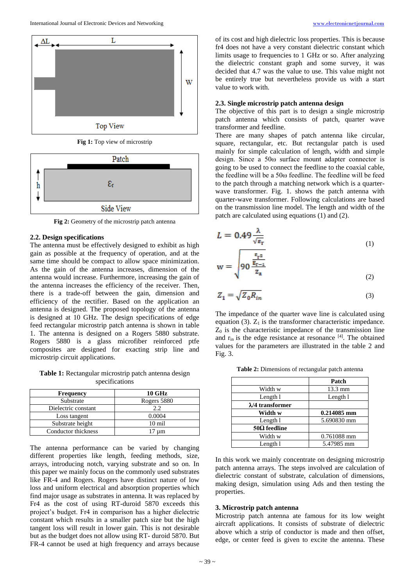

**Fig 1:** Top view of microstrip



**Fig 2:** Geometry of the microstrip patch antenna

#### **2.2. Design specifications**

The antenna must be effectively designed to exhibit as high gain as possible at the frequency of operation, and at the same time should be compact to allow space minimization. As the gain of the antenna increases, dimension of the antenna would increase. Furthermore, increasing the gain of the antenna increases the efficiency of the receiver. Then, there is a trade-off between the gain, dimension and efficiency of the rectifier. Based on the application an antenna is designed. The proposed topology of the antenna is designed at 10 GHz. The design specifications of edge feed rectangular microstrip patch antenna is shown in table 1. The antenna is designed on a Rogers 5880 substrate. Rogers 5880 is a glass microfiber reinforced ptfe composites are designed for exacting strip line and microstrip circuit applications.

**Table 1:** Rectangular microstrip patch antenna design specifications

| <b>Frequency</b>    | <b>10 GHz</b>    |  |  |
|---------------------|------------------|--|--|
| Substrate           | Rogers 5880      |  |  |
| Dielectric constant | 2.2.             |  |  |
| Loss tangent        | 0.0004           |  |  |
| Substrate height    | $10 \text{ mil}$ |  |  |
| Conductor thickness | 7 um             |  |  |

The antenna performance can be varied by changing different properties like length, feeding methods, size, arrays, introducing notch, varying substrate and so on. In this paper we mainly focus on the commonly used substrates like FR-4 and Rogers. Rogers have distinct nature of low loss and uniform electrical and absorption properties which find major usage as substrates in antenna. It was replaced by Fr4 as the cost of using RT-duroid 5870 exceeds this project's budget. Fr4 in comparison has a higher dielectric constant which results in a smaller patch size but the high tangent loss will result in lower gain. This is not desirable but as the budget does not allow using RT- duroid 5870. But FR-4 cannot be used at high frequency and arrays because

of its cost and high dielectric loss properties. This is because fr4 does not have a very constant dielectric constant which limits usage to frequencies to 1 GHz or so. After analyzing the dielectric constant graph and some survey, it was decided that 4.7 was the value to use. This value might not be entirely true but nevertheless provide us with a start value to work with.

#### **2.3. Single microstrip patch antenna design**

The objective of this part is to design a single microstrip patch antenna which consists of patch, quarter wave transformer and feedline.

There are many shapes of patch antenna like circular, square, rectangular, etc. But rectangular patch is used mainly for simple calculation of length, width and simple design. Since a 50ω surface mount adapter connector is going to be used to connect the feedline to the coaxial cable, the feedline will be a 50ω feedline. The feedline will be feed to the patch through a matching network which is a quarterwave transformer. Fig. 1. shows the patch antenna with quarter-wave transformer. Following calculations are based on the transmission line model. The length and width of the patch are calculated using equations (1) and (2).

$$
L = 0.49 \frac{\lambda}{\sqrt{\epsilon_r}}\tag{1}
$$

$$
w = \sqrt{90 \frac{\frac{\epsilon_{r2}}{\epsilon_{r-1}}}{z_a}}
$$
 (2)

$$
Z_1 = \sqrt{Z_0 R_{in}}\tag{3}
$$

The impedance of the quarter wave line is calculated using equation (3).  $Z_1$  is the transformer characteristic impedance.  $Z<sub>0</sub>$  is the characteristic impedance of the transmission line and  $r_{\text{in}}$  is the edge resistance at resonance  $^{[4]}$ . The obtained values for the parameters are illustrated in the table 2 and Fig. 3.

|                          | Patch       |  |
|--------------------------|-------------|--|
| Width w                  | 13.3 mm     |  |
| Length 1                 | Length l    |  |
| $\lambda$ /4 transformer |             |  |
| Width w                  | 0.214085 mm |  |
| Length 1                 | 5.690830 mm |  |
| $50\Omega$ feedline      |             |  |
| Width w                  | 0.761088 mm |  |
| Length 1                 | 5.47985 mm  |  |

**Table 2:** Dimensions of rectangular patch antenna

In this work we mainly concentrate on designing microstrip patch antenna arrays. The steps involved are calculation of dielectric constant of substrate, calculation of dimensions, making design, simulation using Ads and then testing the properties.

#### **3. Microstrip patch antenna**

Microstrip patch antenna ate famous for its low weight aircraft applications. It consists of substrate of dielectric above which a strip of conductor is made and then offset, edge, or center feed is given to excite the antenna. These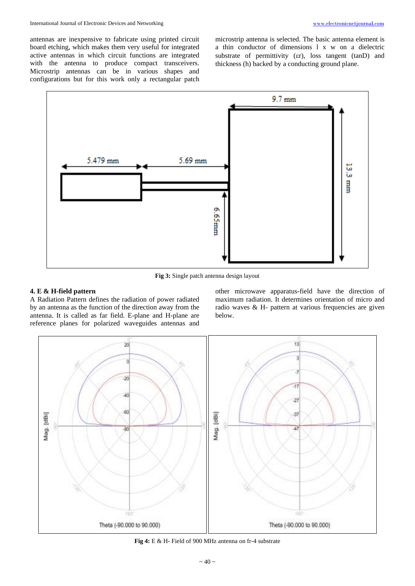antennas are inexpensive to fabricate using printed circuit board etching, which makes them very useful for integrated active antennas in which circuit functions are integrated with the antenna to produce compact transceivers. Microstrip antennas can be in various shapes and configurations but for this work only a rectangular patch

microstrip antenna is selected. The basic antenna element is a thin conductor of dimensions l x w on a dielectric substrate of permittivity (Er), loss tangent (tanD) and thickness (h) backed by a conducting ground plane.



**Fig 3:** Single patch antenna design layout

## **4. E & H-field pattern**

A Radiation Pattern defines the radiation of power radiated by an antenna as the function of the direction away from the antenna. It is called as far field. E-plane and H-plane are reference planes for polarized waveguides antennas and

other microwave apparatus-field have the direction of maximum radiation. It determines orientation of micro and radio waves & H- pattern at various frequencies are given below.



**Fig 4:** E & H- Field of 900 MHz antenna on fr-4 substrate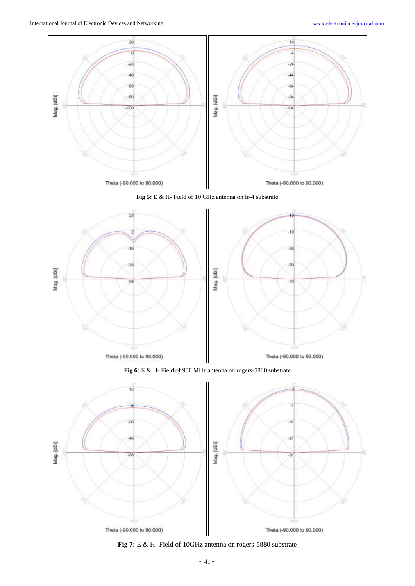

**Fig 5:** E & H- Field of 10 GHz antenna on fr-4 substrate



**Fig 6:** E & H- Field of 900 MHz antenna on rogers-5880 substrate



**Fig 7:** E & H- Field of 10GHz antenna on rogers-5880 substrate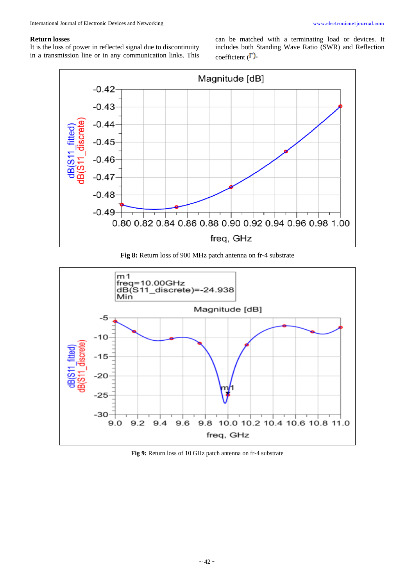## **Return losses**

It is the loss of power in reflected signal due to discontinuity in a transmission line or in any communication links. This can be matched with a terminating load or devices. It includes both Standing Wave Ratio (SWR) and Reflection coefficient  $(\Gamma)$ .



**Fig 8:** Return loss of 900 MHz patch antenna on fr-4 substrate



**Fig 9:** Return loss of 10 GHz patch antenna on fr-4 substrate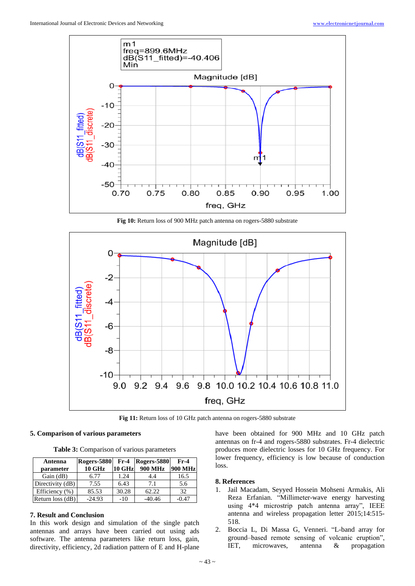

**Fig 10:** Return loss of 900 MHz patch antenna on rogers-5880 substrate



**Fig 11:** Return loss of 10 GHz patch antenna on rogers-5880 substrate

## **5. Comparison of various parameters**

**Table 3:** Comparison of various parameters

| Antenna          | <b>Rogers-5880</b> | $Fr-4$ | Rogers-5880    | $Fr-4$         |
|------------------|--------------------|--------|----------------|----------------|
| parameter        | <b>10 GHz</b>      | 10 GHz | <b>900 MHz</b> | <b>900 MHz</b> |
| Gain (dB)        | 6.77               | 1.24   | 4.4            | 16.5           |
| Directivity (dB) | 7.55               | 6.43   | 7.1            | 5.6            |
| Efficiency (%)   | 85.53              | 30.28  | 62.22          | 32             |
| Return loss (dB) | $-24.93$           | $-10$  | $-40.46$       | $-0.47$        |

# **7. Result and Conclusion**

In this work design and simulation of the single patch antennas and arrays have been carried out using ads software. The antenna parameters like return loss, gain, directivity, efficiency, 2d radiation pattern of E and H-plane have been obtained for 900 MHz and 10 GHz patch antennas on fr-4 and rogers-5880 substrates. Fr-4 dielectric produces more dielectric losses for 10 GHz frequency. For lower frequency, efficiency is low because of conduction loss.

## **8. References**

- 1. Jail Macadam, Seyyed Hossein Mohseni Armakis, Ali Reza Erfanian. "Millimeter-wave energy harvesting using 4\*4 microstrip patch antenna array", IEEE antenna and wireless propagation letter 2015;14:515- 518.
- 2. Boccia L, Di Massa G, Venneri. "L-band array for ground–based remote sensing of volcanic eruption", IET, microwaves, antenna & propagation